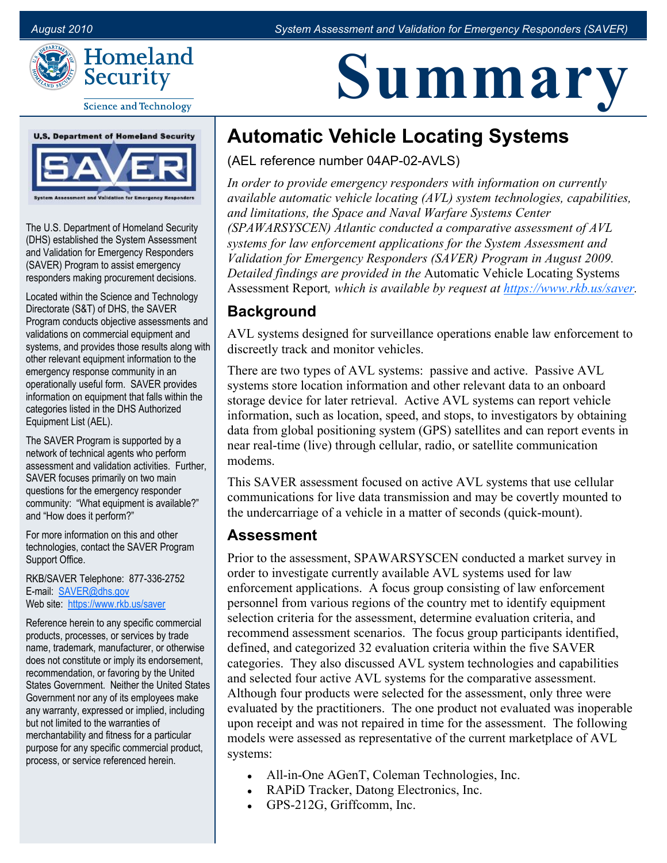**Summary**



#### **Science and Technology**



The U.S. Department of Homeland Security (DHS) established the System Assessment and Validation for Emergency Responders (SAVER) Program to assist emergency responders making procurement decisions.

Located within the Science and Technology Directorate (S&T) of DHS, the SAVER Program conducts objective assessments and validations on commercial equipment and systems, and provides those results along with other relevant equipment information to the emergency response community in an operationally useful form. SAVER provides information on equipment that falls within the categories listed in the DHS Authorized Equipment List (AEL).

The SAVER Program is supported by a network of technical agents who perform assessment and validation activities. Further, SAVER focuses primarily on two main questions for the emergency responder community: "What equipment is available?" and "How does it perform?"

For more information on this and other technologies, contact the SAVER Program Support Office.

RKB/SAVER Telephone: 877-336-2752 E-mail:<SAVER@dhs.gov> Web site: https://www.rkb.us/saver

Reference herein to any specific commercial products, processes, or services by trade name, trademark, manufacturer, or otherwise does not constitute or imply its endorsement, recommendation, or favoring by the United States Government. Neither the United States Government nor any of its employees make any warranty, expressed or implied, including but not limited to the warranties of merchantability and fitness for a particular purpose for any specific commercial product, process, or service referenced herein.

# **Automatic Vehicle Locating Systems**

(AEL reference number 04AP-02-AVLS)

*In order to provide emergency responders with information on currently available automatic vehicle locating (AVL) system technologies, capabilities, and limitations, the Space and Naval Warfare Systems Center (SPAWARSYSCEN) Atlantic conducted a comparative assessment of AVL systems for law enforcement applications for the System Assessment and Validation for Emergency Responders (SAVER) Program in August 2009. Detailed findings are provided in the* Automatic Vehicle Locating Systems Assessment Report*, which is available by request at https://www.rkb.us/saver.* 

#### **Background**

AVL systems designed for surveillance operations enable law enforcement to discreetly track and monitor vehicles.

There are two types of AVL systems: passive and active. Passive AVL systems store location information and other relevant data to an onboard storage device for later retrieval. Active AVL systems can report vehicle information, such as location, speed, and stops, to investigators by obtaining data from global positioning system (GPS) satellites and can report events in near real-time (live) through cellular, radio, or satellite communication modems.

This SAVER assessment focused on active AVL systems that use cellular communications for live data transmission and may be covertly mounted to the undercarriage of a vehicle in a matter of seconds (quick-mount).

#### **Assessment**

Prior to the assessment, SPAWARSYSCEN conducted a market survey in order to investigate currently available AVL systems used for law enforcement applications. A focus group consisting of law enforcement personnel from various regions of the country met to identify equipment selection criteria for the assessment, determine evaluation criteria, and recommend assessment scenarios. The focus group participants identified, defined, and categorized 32 evaluation criteria within the five SAVER categories. They also discussed AVL system technologies and capabilities and selected four active AVL systems for the comparative assessment. Although four products were selected for the assessment, only three were evaluated by the practitioners. The one product not evaluated was inoperable upon receipt and was not repaired in time for the assessment. The following models were assessed as representative of the current marketplace of AVL systems:

- All-in-One AGenT, Coleman Technologies, Inc.
- RAPiD Tracker, Datong Electronics, Inc.
- GPS-212G, Griffcomm, Inc.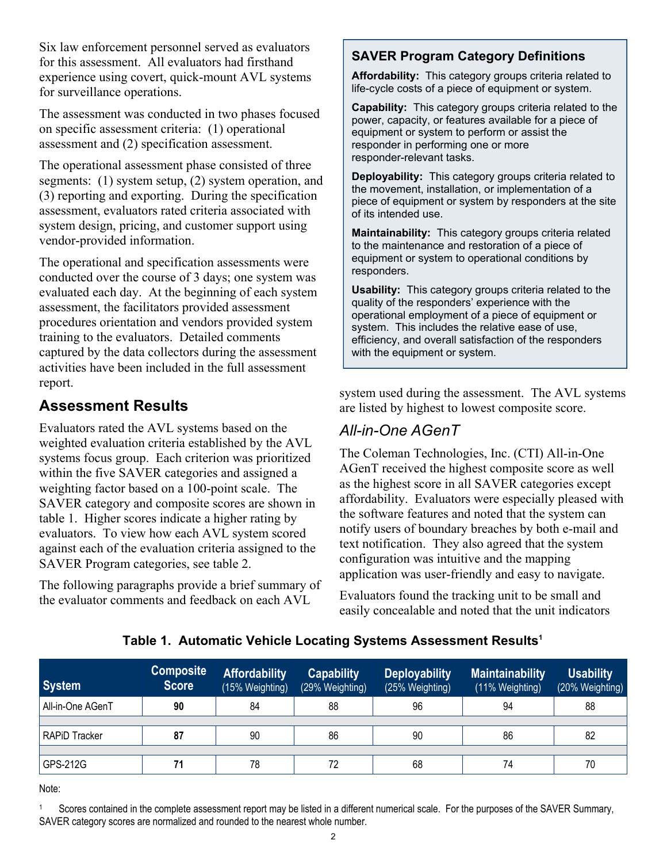Six law enforcement personnel served as evaluators for this assessment. All evaluators had firsthand experience using covert, quick-mount AVL systems for surveillance operations.

The assessment was conducted in two phases focused on specific assessment criteria: (1) operational assessment and (2) specification assessment.

The operational assessment phase consisted of three segments: (1) system setup, (2) system operation, and (3) reporting and exporting. During the specification assessment, evaluators rated criteria associated with system design, pricing, and customer support using vendor-provided information.

The operational and specification assessments were conducted over the course of 3 days; one system was evaluated each day. At the beginning of each system assessment, the facilitators provided assessment procedures orientation and vendors provided system training to the evaluators. Detailed comments captured by the data collectors during the assessment activities have been included in the full assessment report.

### **Assessment Results**

Evaluators rated the AVL systems based on the weighted evaluation criteria established by the AVL systems focus group. Each criterion was prioritized within the five SAVER categories and assigned a weighting factor based on a 100-point scale. The SAVER category and composite scores are shown in table 1. Higher scores indicate a higher rating by evaluators. To view how each AVL system scored against each of the evaluation criteria assigned to the SAVER Program categories, see table 2.

The following paragraphs provide a brief summary of the evaluator comments and feedback on each AVL

#### **SAVER Program Category Definitions**

 **Affordability:** This category groups criteria related to life-cycle costs of a piece of equipment or system.

 **Capability:** This category groups criteria related to the power, capacity, or features available for a piece of equipment or system to perform or assist the responder in performing one or more responder-relevant tasks.

 **Deployability:** This category groups criteria related to the movement, installation, or implementation of a piece of equipment or system by responders at the site of its intended use.

 **Maintainability:** This category groups criteria related to the maintenance and restoration of a piece of equipment or system to operational conditions by responders.

 **Usability:** This category groups criteria related to the quality of the responders' experience with the operational employment of a piece of equipment or system. This includes the relative ease of use, efficiency, and overall satisfaction of the responders with the equipment or system.

system used during the assessment. The AVL systems are listed by highest to lowest composite score.

#### *All-in-One AGenT*

The Coleman Technologies, Inc. (CTI) All-in-One AGenT received the highest composite score as well as the highest score in all SAVER categories except affordability. Evaluators were especially pleased with the software features and noted that the system can notify users of boundary breaches by both e-mail and text notification. They also agreed that the system configuration was intuitive and the mapping application was user-friendly and easy to navigate.

Evaluators found the tracking unit to be small and easily concealable and noted that the unit indicators

| <b>System</b>    | <b>Score</b> | <b>Affordability</b><br>(15% Weighting) | <b>Capability</b><br>(29% Weighting) | <b>Deployability</b><br>(25% Weighting) | <b>Maintainability</b><br>(11% Weighting) | <b>Usability</b><br>(20% Weighting) |
|------------------|--------------|-----------------------------------------|--------------------------------------|-----------------------------------------|-------------------------------------------|-------------------------------------|
| All-in-One AGenT | 90           | 84                                      | 88                                   | 96                                      | 94                                        | 88                                  |
|                  |              |                                         |                                      |                                         |                                           |                                     |
| RAPiD Tracker    | 87           | 90                                      | 86                                   | 90                                      | 86                                        | 82                                  |
|                  |              |                                         |                                      |                                         |                                           |                                     |
| $ $ GPS-212G     |              | 78                                      | 72                                   | 68                                      | 74                                        | 70                                  |

#### **Table 1. Automatic Vehicle Locating Systems Assessment Results1**

Note:

Scores contained in the complete assessment report may be listed in a different numerical scale. For the purposes of the SAVER Summary, SAVER category scores are normalized and rounded to the nearest whole number. 1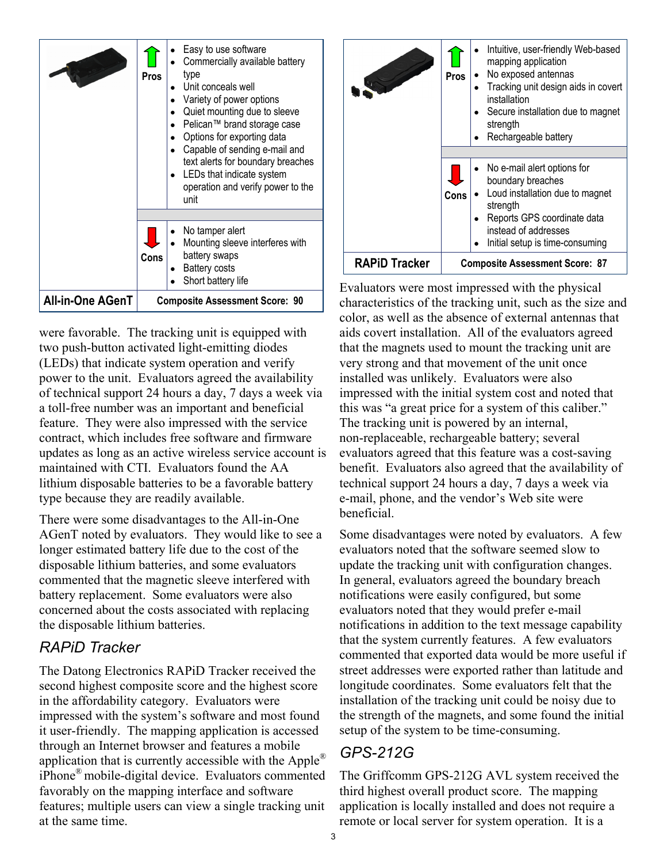

were favorable. The tracking unit is equipped with two push-button activated light-emitting diodes (LEDs) that indicate system operation and verify power to the unit. Evaluators agreed the availability of technical support 24 hours a day, 7 days a week via a toll-free number was an important and beneficial feature. They were also impressed with the service contract, which includes free software and firmware updates as long as an active wireless service account is maintained with CTI. Evaluators found the AA lithium disposable batteries to be a favorable battery type because they are readily available.

There were some disadvantages to the All-in-One AGenT noted by evaluators. They would like to see a longer estimated battery life due to the cost of the disposable lithium batteries, and some evaluators commented that the magnetic sleeve interfered with battery replacement. Some evaluators were also concerned about the costs associated with replacing the disposable lithium batteries.

#### *RAPiD Tracker*

The Datong Electronics RAPiD Tracker received the second highest composite score and the highest score in the affordability category. Evaluators were impressed with the system's software and most found it user-friendly. The mapping application is accessed through an Internet browser and features a mobile application that is currently accessible with the Apple<sup>®</sup> iPhone® mobile-digital device. Evaluators commented favorably on the mapping interface and software features; multiple users can view a single tracking unit at the same time.



Evaluators were most impressed with the physical characteristics of the tracking unit, such as the size and color, as well as the absence of external antennas that aids covert installation. All of the evaluators agreed that the magnets used to mount the tracking unit are very strong and that movement of the unit once installed was unlikely. Evaluators were also impressed with the initial system cost and noted that this was "a great price for a system of this caliber." The tracking unit is powered by an internal, non-replaceable, rechargeable battery; several evaluators agreed that this feature was a cost-saving benefit. Evaluators also agreed that the availability of technical support 24 hours a day, 7 days a week via e-mail, phone, and the vendor's Web site were beneficial.

Some disadvantages were noted by evaluators. A few evaluators noted that the software seemed slow to update the tracking unit with configuration changes. In general, evaluators agreed the boundary breach notifications were easily configured, but some evaluators noted that they would prefer e-mail notifications in addition to the text message capability that the system currently features. A few evaluators commented that exported data would be more useful if street addresses were exported rather than latitude and longitude coordinates. Some evaluators felt that the installation of the tracking unit could be noisy due to the strength of the magnets, and some found the initial setup of the system to be time-consuming.

#### *GPS-212G*

The Griffcomm GPS-212G AVL system received the third highest overall product score. The mapping application is locally installed and does not require a remote or local server for system operation. It is a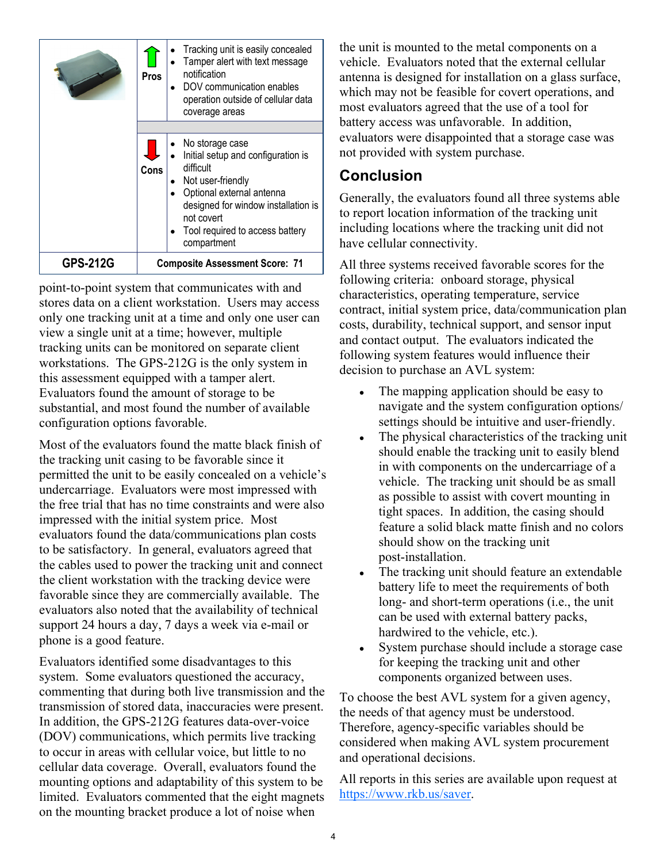|                 | Pros                                  | Tracking unit is easily concealed<br>Tamper alert with text message<br>notification<br>DOV communication enables<br>operation outside of cellular data<br>coverage areas                                                    |  |
|-----------------|---------------------------------------|-----------------------------------------------------------------------------------------------------------------------------------------------------------------------------------------------------------------------------|--|
|                 |                                       |                                                                                                                                                                                                                             |  |
|                 | Cons                                  | No storage case<br>Initial setup and configuration is<br>difficult<br>Not user-friendly<br>Optional external antenna<br>designed for window installation is<br>not covert<br>Tool required to access battery<br>compartment |  |
| <b>GPS-212G</b> | <b>Composite Assessment Score: 71</b> |                                                                                                                                                                                                                             |  |

point-to-point system that communicates with and stores data on a client workstation. Users may access only one tracking unit at a time and only one user can view a single unit at a time; however, multiple tracking units can be monitored on separate client workstations. The GPS-212G is the only system in this assessment equipped with a tamper alert. Evaluators found the amount of storage to be substantial, and most found the number of available configuration options favorable.

Most of the evaluators found the matte black finish of the tracking unit casing to be favorable since it permitted the unit to be easily concealed on a vehicle's undercarriage. Evaluators were most impressed with the free trial that has no time constraints and were also impressed with the initial system price. Most evaluators found the data/communications plan costs to be satisfactory. In general, evaluators agreed that the cables used to power the tracking unit and connect the client workstation with the tracking device were favorable since they are commercially available. The evaluators also noted that the availability of technical support 24 hours a day, 7 days a week via e-mail or phone is a good feature.

Evaluators identified some disadvantages to this system. Some evaluators questioned the accuracy, commenting that during both live transmission and the transmission of stored data, inaccuracies were present. In addition, the GPS-212G features data-over-voice (DOV) communications, which permits live tracking to occur in areas with cellular voice, but little to no cellular data coverage. Overall, evaluators found the mounting options and adaptability of this system to be limited. Evaluators commented that the eight magnets on the mounting bracket produce a lot of noise when

the unit is mounted to the metal components on a vehicle. Evaluators noted that the external cellular antenna is designed for installation on a glass surface, which may not be feasible for covert operations, and most evaluators agreed that the use of a tool for battery access was unfavorable. In addition, evaluators were disappointed that a storage case was not provided with system purchase.

#### **Conclusion**

Generally, the evaluators found all three systems able to report location information of the tracking unit including locations where the tracking unit did not have cellular connectivity.

All three systems received favorable scores for the following criteria: onboard storage, physical characteristics, operating temperature, service contract, initial system price, data/communication plan costs, durability, technical support, and sensor input and contact output. The evaluators indicated the following system features would influence their decision to purchase an AVL system:

- The mapping application should be easy to navigate and the system configuration options/ settings should be intuitive and user-friendly.
- The physical characteristics of the tracking unit should enable the tracking unit to easily blend in with components on the undercarriage of a vehicle. The tracking unit should be as small as possible to assist with covert mounting in tight spaces. In addition, the casing should feature a solid black matte finish and no colors should show on the tracking unit post-installation.
- The tracking unit should feature an extendable battery life to meet the requirements of both long- and short-term operations (i.e., the unit can be used with external battery packs, hardwired to the vehicle, etc.).
- System purchase should include a storage case for keeping the tracking unit and other components organized between uses.

To choose the best AVL system for a given agency, the needs of that agency must be understood. Therefore, agency-specific variables should be considered when making AVL system procurement and operational decisions.

All reports in this series are available upon request at https://www.rkb.us/saver.